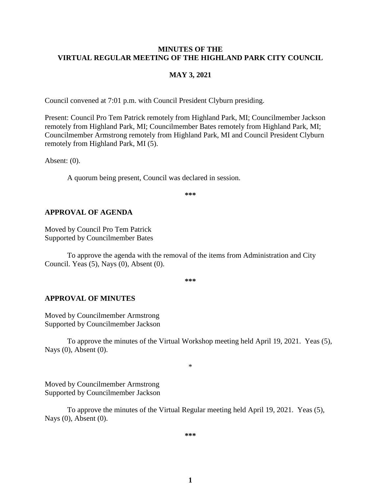#### **MINUTES OF THE VIRTUAL REGULAR MEETING OF THE HIGHLAND PARK CITY COUNCIL**

#### **MAY 3, 2021**

Council convened at 7:01 p.m. with Council President Clyburn presiding.

Present: Council Pro Tem Patrick remotely from Highland Park, MI; Councilmember Jackson remotely from Highland Park, MI; Councilmember Bates remotely from Highland Park, MI; Councilmember Armstrong remotely from Highland Park, MI and Council President Clyburn remotely from Highland Park, MI (5).

Absent: (0).

A quorum being present, Council was declared in session.

**\*\*\***

#### **APPROVAL OF AGENDA**

Moved by Council Pro Tem Patrick Supported by Councilmember Bates

To approve the agenda with the removal of the items from Administration and City Council. Yeas (5), Nays (0), Absent (0).

**\*\*\***

#### **APPROVAL OF MINUTES**

Moved by Councilmember Armstrong Supported by Councilmember Jackson

To approve the minutes of the Virtual Workshop meeting held April 19, 2021.Yeas (5), Nays (0), Absent (0).

\*

Moved by Councilmember Armstrong Supported by Councilmember Jackson

To approve the minutes of the Virtual Regular meeting held April 19, 2021.Yeas (5), Nays (0), Absent (0).

**\*\*\***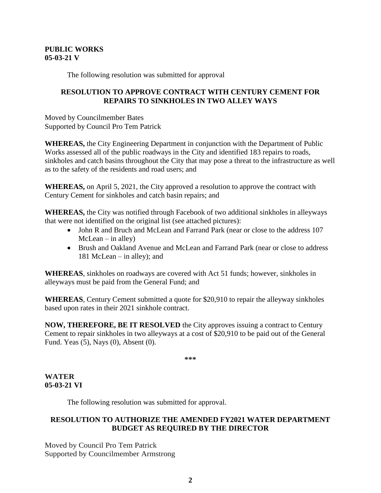### **PUBLIC WORKS 05-03-21 V**

The following resolution was submitted for approval

## **RESOLUTION TO APPROVE CONTRACT WITH CENTURY CEMENT FOR REPAIRS TO SINKHOLES IN TWO ALLEY WAYS**

Moved by Councilmember Bates Supported by Council Pro Tem Patrick

**WHEREAS,** the City Engineering Department in conjunction with the Department of Public Works assessed all of the public roadways in the City and identified 183 repairs to roads, sinkholes and catch basins throughout the City that may pose a threat to the infrastructure as well as to the safety of the residents and road users; and

**WHEREAS,** on April 5, 2021, the City approved a resolution to approve the contract with Century Cement for sinkholes and catch basin repairs; and

**WHEREAS,** the City was notified through Facebook of two additional sinkholes in alleyways that were not identified on the original list (see attached pictures):

- John R and Bruch and McLean and Farrand Park (near or close to the address 107  $McLean - in$  alley)
- Brush and Oakland Avenue and McLean and Farrand Park (near or close to address 181 McLean – in alley); and

**WHEREAS**, sinkholes on roadways are covered with Act 51 funds; however, sinkholes in alleyways must be paid from the General Fund; and

**WHEREAS**, Century Cement submitted a quote for \$20,910 to repair the alleyway sinkholes based upon rates in their 2021 sinkhole contract.

**NOW, THEREFORE, BE IT RESOLVED** the City approves issuing a contract to Century Cement to repair sinkholes in two alleyways at a cost of \$20,910 to be paid out of the General Fund. Yeas (5), Nays (0), Absent (0).

**\*\*\***

## **WATER 05-03-21 VI**

The following resolution was submitted for approval.

# **RESOLUTION TO AUTHORIZE THE AMENDED FY2021 WATER DEPARTMENT BUDGET AS REQUIRED BY THE DIRECTOR**

Moved by Council Pro Tem Patrick Supported by Councilmember Armstrong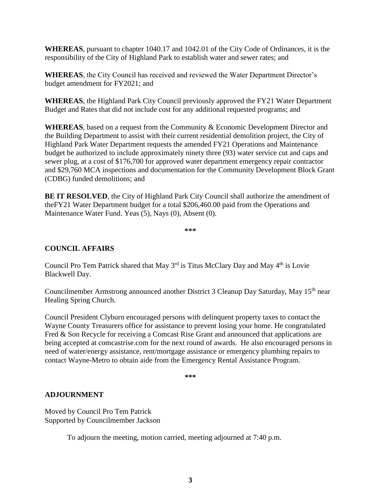**WHEREAS**, pursuant to chapter 1040.17 and 1042.01 of the City Code of Ordinances, it is the responsibility of the City of Highland Park to establish water and sewer rates; and

**WHEREAS**, the City Council has received and reviewed the Water Department Director's budget amendment for FY2021; and

**WHEREAS**, the Highland Park City Council previously approved the FY21 Water Department Budget and Rates that did not include cost for any additional requested programs; and

**WHEREAS**, based on a request from the Community & Economic Development Director and the Building Department to assist with their current residential demolition project, the City of Highland Park Water Department requests the amended FY21 Operations and Maintenance budget be authorized to include approximately ninety three (93) water service cut and caps and sewer plug, at a cost of \$176,700 for approved water department emergency repair contractor and \$29,760 MCA inspections and documentation for the Community Development Block Grant (CDBG) funded demolitions; and

**BE IT RESOLVED**, the City of Highland Park City Council shall authorize the amendment of theFY21 Water Department budget for a total \$206,460.00 paid from the Operations and Maintenance Water Fund. Yeas (5), Nays (0), Absent (0).

**\*\*\***

## **COUNCIL AFFAIRS**

Council Pro Tem Patrick shared that May  $3<sup>rd</sup>$  is Titus McClary Day and May  $4<sup>th</sup>$  is Lovie Blackwell Day.

Councilmember Armstrong announced another District 3 Cleanup Day Saturday, May 15<sup>th</sup> near Healing Spring Church.

Council President Clyburn encouraged persons with delinquent property taxes to contact the Wayne County Treasurers office for assistance to prevent losing your home. He congratulated Fred & Son Recycle for receiving a Comcast Rise Grant and announced that applications are being accepted at comcastrise.com for the next round of awards. He also encouraged persons in need of water/energy assistance, rent/mortgage assistance or emergency plumbing repairs to contact Wayne-Metro to obtain aide from the Emergency Rental Assistance Program.

**\*\*\***

#### **ADJOURNMENT**

Moved by Council Pro Tem Patrick Supported by Councilmember Jackson

To adjourn the meeting, motion carried, meeting adjourned at 7:40 p.m.